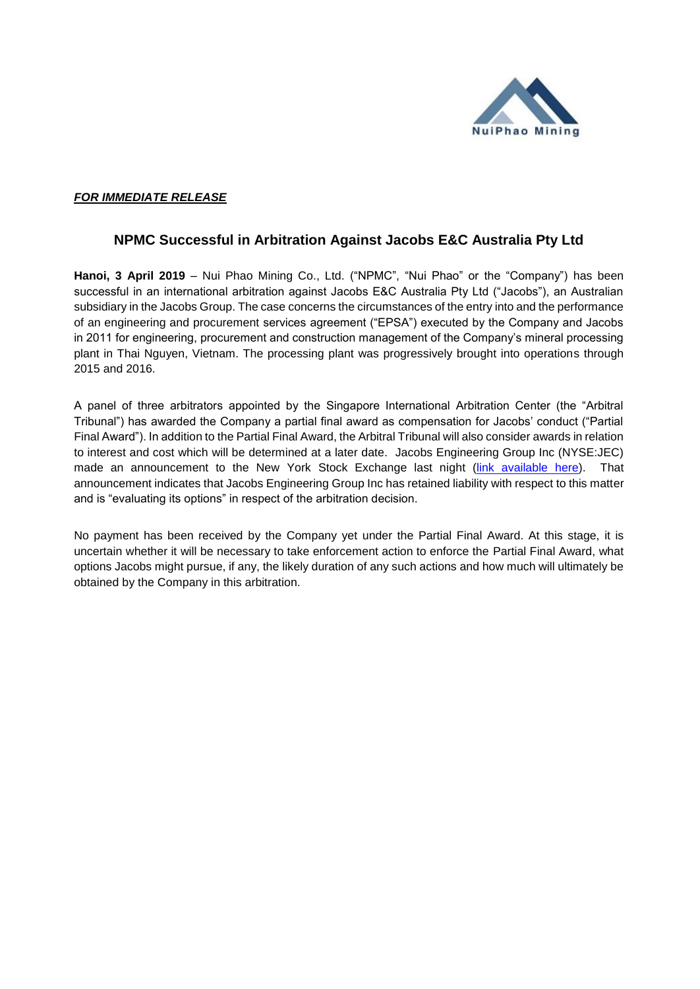

## *FOR IMMEDIATE RELEASE*

## **NPMC Successful in Arbitration Against Jacobs E&C Australia Pty Ltd**

**Hanoi, 3 April 2019** – Nui Phao Mining Co., Ltd. ("NPMC", "Nui Phao" or the "Company") has been successful in an international arbitration against Jacobs E&C Australia Pty Ltd ("Jacobs"), an Australian subsidiary in the Jacobs Group. The case concerns the circumstances of the entry into and the performance of an engineering and procurement services agreement ("EPSA") executed by the Company and Jacobs in 2011 for engineering, procurement and construction management of the Company's mineral processing plant in Thai Nguyen, Vietnam. The processing plant was progressively brought into operations through 2015 and 2016.

A panel of three arbitrators appointed by the Singapore International Arbitration Center (the "Arbitral Tribunal") has awarded the Company a partial final award as compensation for Jacobs' conduct ("Partial Final Award"). In addition to the Partial Final Award, the Arbitral Tribunal will also consider awards in relation to interest and cost which will be determined at a later date. Jacobs Engineering Group Inc (NYSE:JEC) made an announcement to the New York Stock Exchange last night [\(link available here\)](https://marketexclusive.com/jacobs-engineering-group-inc-nysejec-files-an-8-k-other-events-2/2019/04/). That announcement indicates that Jacobs Engineering Group Inc has retained liability with respect to this matter and is "evaluating its options" in respect of the arbitration decision.

No payment has been received by the Company yet under the Partial Final Award. At this stage, it is uncertain whether it will be necessary to take enforcement action to enforce the Partial Final Award, what options Jacobs might pursue, if any, the likely duration of any such actions and how much will ultimately be obtained by the Company in this arbitration.